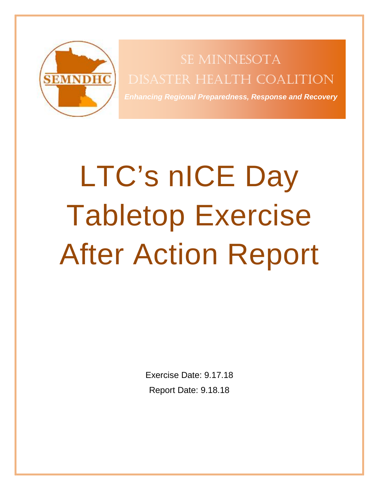<span id="page-0-0"></span>

DISASTER HEALTH COALITION SE MINNESOTA

*Enhancing Regional Preparedness, Response and Recovery*

# LTC's nICE Day Tabletop Exercise After Action Report

Exercise Date: 9.17.18 Report Date: 9.18.18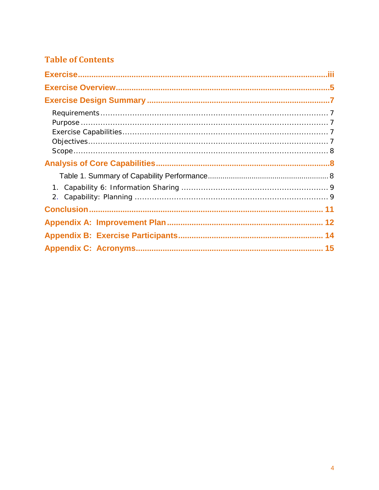## **Table of Contents**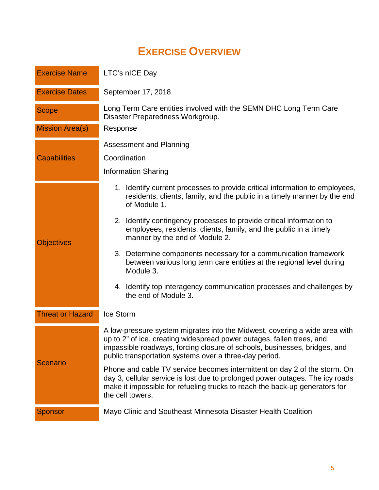# **EXERCISE OVERVIEW**

<span id="page-2-0"></span>

| <b>Exercise Name</b>    | LTC's nICE Day                                                                                                                                                                                                                                                                             |  |  |  |  |
|-------------------------|--------------------------------------------------------------------------------------------------------------------------------------------------------------------------------------------------------------------------------------------------------------------------------------------|--|--|--|--|
| <b>Exercise Dates</b>   | September 17, 2018                                                                                                                                                                                                                                                                         |  |  |  |  |
| <b>Scope</b>            | Long Term Care entities involved with the SEMN DHC Long Term Care<br>Disaster Preparedness Workgroup.                                                                                                                                                                                      |  |  |  |  |
| <b>Mission Area(s)</b>  | Response                                                                                                                                                                                                                                                                                   |  |  |  |  |
|                         | Assessment and Planning                                                                                                                                                                                                                                                                    |  |  |  |  |
| <b>Capabilities</b>     | Coordination                                                                                                                                                                                                                                                                               |  |  |  |  |
|                         | <b>Information Sharing</b>                                                                                                                                                                                                                                                                 |  |  |  |  |
|                         | 1. Identify current processes to provide critical information to employees,<br>residents, clients, family, and the public in a timely manner by the end<br>of Module 1.                                                                                                                    |  |  |  |  |
| <b>Objectives</b>       | 2. Identify contingency processes to provide critical information to<br>employees, residents, clients, family, and the public in a timely<br>manner by the end of Module 2.                                                                                                                |  |  |  |  |
|                         | 3. Determine components necessary for a communication framework<br>between various long term care entities at the regional level during<br>Module 3.                                                                                                                                       |  |  |  |  |
|                         | 4. Identify top interagency communication processes and challenges by<br>the end of Module 3.                                                                                                                                                                                              |  |  |  |  |
| <b>Threat or Hazard</b> | Ice Storm                                                                                                                                                                                                                                                                                  |  |  |  |  |
| <b>Scenario</b>         | A low-pressure system migrates into the Midwest, covering a wide area with<br>up to 2" of ice, creating widespread power outages, fallen trees, and<br>impassible roadways, forcing closure of schools, businesses, bridges, and<br>public transportation systems over a three-day period. |  |  |  |  |
|                         | Phone and cable TV service becomes intermittent on day 2 of the storm. On<br>day 3, cellular service is lost due to prolonged power outages. The icy roads<br>make it impossible for refueling trucks to reach the back-up generators for<br>the cell towers.                              |  |  |  |  |
| <b>Sponsor</b>          | Mayo Clinic and Southeast Minnesota Disaster Health Coalition                                                                                                                                                                                                                              |  |  |  |  |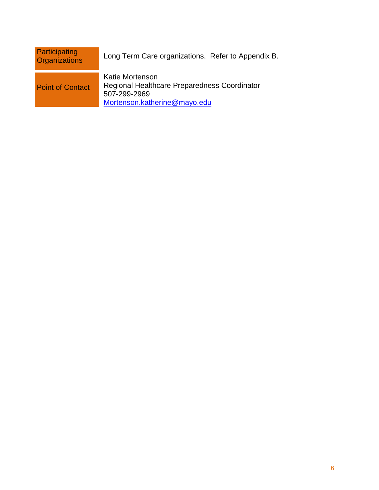| Participating<br><b>Organizations</b> | Long Term Care organizations. Refer to Appendix B.                                                              |
|---------------------------------------|-----------------------------------------------------------------------------------------------------------------|
| <b>Point of Contact</b>               | Katie Mortenson<br>Regional Healthcare Preparedness Coordinator<br>507-299-2969<br>Mortenson.katherine@mayo.edu |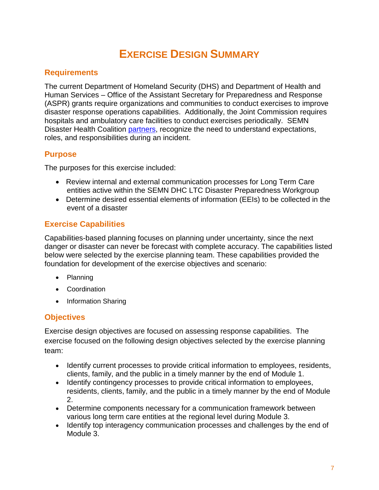# **EXERCISE DESIGN SUMMARY**

## <span id="page-4-1"></span><span id="page-4-0"></span>**Requirements**

The current Department of Homeland Security (DHS) and Department of Health and Human Services – Office of the Assistant Secretary for Preparedness and Response (ASPR) grants require organizations and communities to conduct exercises to improve disaster response operations capabilities. Additionally, the Joint Commission requires hospitals and ambulatory care facilities to conduct exercises periodically. SEMN Disaster Health Coalition [partners,](http://www.semndhc.org/partners/) recognize the need to understand expectations, roles, and responsibilities during an incident.

## <span id="page-4-2"></span>**Purpose**

The purposes for this exercise included:

- Review internal and external communication processes for Long Term Care entities active within the SEMN DHC LTC Disaster Preparedness Workgroup
- Determine desired essential elements of information (EEIs) to be collected in the event of a disaster

## <span id="page-4-3"></span>**Exercise Capabilities**

Capabilities-based planning focuses on planning under uncertainty, since the next danger or disaster can never be forecast with complete accuracy. The capabilities listed below were selected by the exercise planning team. These capabilities provided the foundation for development of the exercise objectives and scenario:

- Planning
- Coordination
- Information Sharing

## <span id="page-4-4"></span>**Objectives**

Exercise design objectives are focused on assessing response capabilities. The exercise focused on the following design objectives selected by the exercise planning team:

- Identify current processes to provide critical information to employees, residents, clients, family, and the public in a timely manner by the end of Module 1.
- Identify contingency processes to provide critical information to employees, residents, clients, family, and the public in a timely manner by the end of Module 2.
- Determine components necessary for a communication framework between various long term care entities at the regional level during Module 3.
- Identify top interagency communication processes and challenges by the end of Module 3.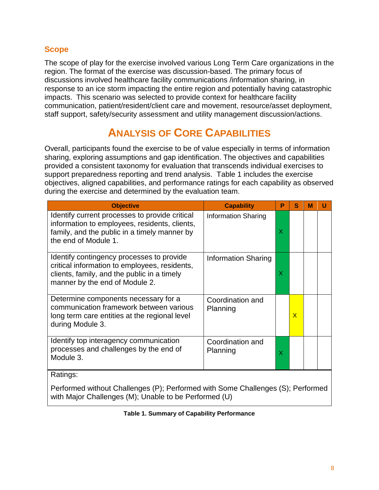## <span id="page-5-0"></span>**Scope**

The scope of play for the exercise involved various Long Term Care organizations in the region. The format of the exercise was discussion-based. The primary focus of discussions involved healthcare facility communications /information sharing, in response to an ice storm impacting the entire region and potentially having catastrophic impacts. This scenario was selected to provide context for healthcare facility communication, patient/resident/client care and movement, resource/asset deployment, staff support, safety/security assessment and utility management discussion/actions.

# **ANALYSIS OF CORE CAPABILITIES**

<span id="page-5-1"></span>Overall, participants found the exercise to be of value especially in terms of information sharing, exploring assumptions and gap identification. The objectives and capabilities provided a consistent taxonomy for evaluation that transcends individual exercises to support preparedness reporting and trend analysis. Table 1 includes the exercise objectives, aligned capabilities, and performance ratings for each capability as observed during the exercise and determined by the evaluation team.

| <b>Objective</b>                                                                                                                                                            | <b>Capability</b>            | P | s            | М | U |
|-----------------------------------------------------------------------------------------------------------------------------------------------------------------------------|------------------------------|---|--------------|---|---|
| Identify current processes to provide critical<br>information to employees, residents, clients,<br>family, and the public in a timely manner by<br>the end of Module 1.     | <b>Information Sharing</b>   | X |              |   |   |
| Identify contingency processes to provide<br>critical information to employees, residents,<br>clients, family, and the public in a timely<br>manner by the end of Module 2. | Information Sharing          | X |              |   |   |
| Determine components necessary for a<br>communication framework between various<br>long term care entities at the regional level<br>during Module 3.                        | Coordination and<br>Planning |   | $\mathsf{x}$ |   |   |
| Identify top interagency communication<br>processes and challenges by the end of<br>Module 3.                                                                               | Coordination and<br>Planning | X |              |   |   |
| Ratings:                                                                                                                                                                    |                              |   |              |   |   |

#### <span id="page-5-2"></span>Performed without Challenges (P); Performed with Some Challenges (S); Performed with Major Challenges (M); Unable to be Performed (U)

#### **Table 1. Summary of Capability Performance**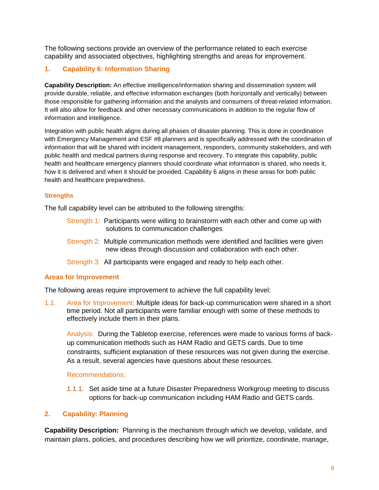The following sections provide an overview of the performance related to each exercise capability and associated objectives, highlighting strengths and areas for improvement.

#### <span id="page-6-0"></span>**1. Capability 6: Information Sharing**

**Capability Description:** An effective intelligence/information sharing and dissemination system will provide durable, reliable, and effective information exchanges (both horizontally and vertically) between those responsible for gathering information and the analysts and consumers of threat-related information. It will also allow for feedback and other necessary communications in addition to the regular flow of information and intelligence.

Integration with public health aligns during all phases of disaster planning. This is done in coordination with Emergency Management and ESF #8 planners and is specifically addressed with the coordination of information that will be shared with incident management, responders, community stakeholders, and with public health and medical partners during response and recovery. To integrate this capability, public health and healthcare emergency planners should coordinate what information is shared, who needs it, how it is delivered and when it should be provided. Capability 6 aligns in these areas for both public health and healthcare preparedness.

#### **Strengths**

The full capability level can be attributed to the following strengths:

- Strength 1: Participants were willing to brainstorm with each other and come up with solutions to communication challenges.
- Strength 2: Multiple communication methods were identified and facilities were given new ideas through discussion and collaboration with each other.
- Strength 3: All participants were engaged and ready to help each other.

#### **Areas for Improvement**

The following areas require improvement to achieve the full capability level:

1.1. Area for Improvement: Multiple ideas for back-up communication were shared in a short time period. Not all participants were familiar enough with some of these methods to effectively include them in their plans.

Analysis: During the Tabletop exercise, references were made to various forms of backup communication methods such as HAM Radio and GETS cards. Due to time constraints, sufficient explanation of these resources was not given during the exercise. As a result, several agencies have questions about these resources.

Recommendations:

1.1.1. Set aside time at a future Disaster Preparedness Workgroup meeting to discuss options for back-up communication including HAM Radio and GETS cards.

#### <span id="page-6-1"></span>**2. Capability: Planning**

**Capability Description:** Planning is the mechanism through which we develop, validate, and maintain plans, policies, and procedures describing how we will prioritize, coordinate, manage,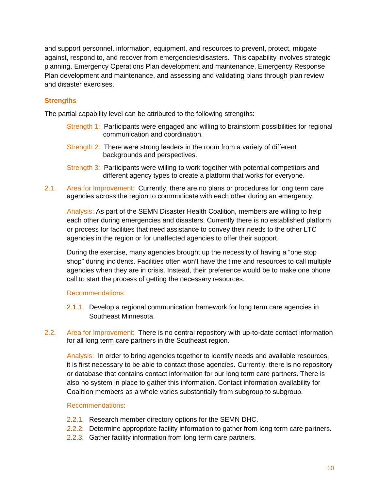and support personnel, information, equipment, and resources to prevent, protect, mitigate against, respond to, and recover from emergencies/disasters. This capability involves strategic planning, Emergency Operations Plan development and maintenance, Emergency Response Plan development and maintenance, and assessing and validating plans through plan review and disaster exercises.

#### **Strengths**

The partial capability level can be attributed to the following strengths:

- Strength 1: Participants were engaged and willing to brainstorm possibilities for regional communication and coordination.
- Strength 2: There were strong leaders in the room from a variety of different backgrounds and perspectives.
- Strength 3: Participants were willing to work together with potential competitors and different agency types to create a platform that works for everyone.
- 2.1. Area for Improvement: Currently, there are no plans or procedures for long term care agencies across the region to communicate with each other during an emergency.

Analysis: As part of the SEMN Disaster Health Coalition, members are willing to help each other during emergencies and disasters. Currently there is no established platform or process for facilities that need assistance to convey their needs to the other LTC agencies in the region or for unaffected agencies to offer their support.

During the exercise, many agencies brought up the necessity of having a "one stop shop" during incidents. Facilities often won't have the time and resources to call multiple agencies when they are in crisis. Instead, their preference would be to make one phone call to start the process of getting the necessary resources.

#### Recommendations:

- 2.1.1. Develop a regional communication framework for long term care agencies in Southeast Minnesota.
- 2.2. Area for Improvement: There is no central repository with up-to-date contact information for all long term care partners in the Southeast region.

Analysis: In order to bring agencies together to identify needs and available resources, it is first necessary to be able to contact those agencies. Currently, there is no repository or database that contains contact information for our long term care partners. There is also no system in place to gather this information. Contact information availability for Coalition members as a whole varies substantially from subgroup to subgroup.

#### Recommendations:

- 2.2.1. Research member directory options for the SEMN DHC.
- 2.2.2. Determine appropriate facility information to gather from long term care partners.
- 2.2.3. Gather facility information from long term care partners.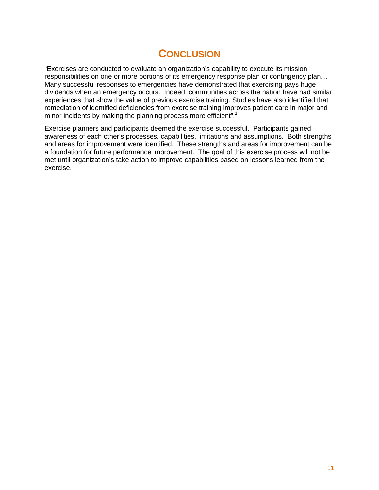## **CONCLUSION**

<span id="page-8-0"></span>"Exercises are conducted to evaluate an organization's capability to execute its mission responsibilities on one or more portions of its emergency response plan or contingency plan… Many successful responses to emergencies have demonstrated that exercising pays huge dividends when an emergency occurs. Indeed, communities across the nation have had similar experiences that show the value of previous exercise training. Studies have also identified that remediation of identified deficiencies from exercise training improves patient care in major and minor incidents by making the planning process more efficient".<sup>1</sup>

Exercise planners and participants deemed the exercise successful. Participants gained awareness of each other's processes, capabilities, limitations and assumptions. Both strengths and areas for improvement were identified. These strengths and areas for improvement can be a foundation for future performance improvement. The goal of this exercise process will not be met until organization's take action to improve capabilities based on lessons learned from the exercise.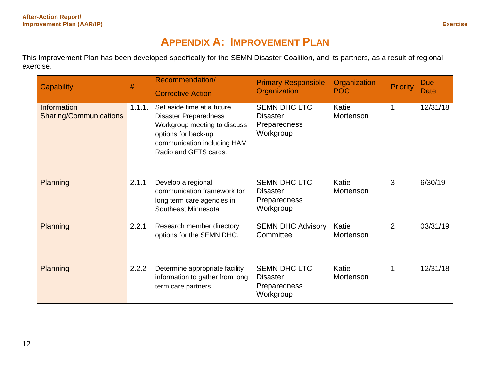# **APPENDIX A: IMPROVEMENT PLAN**

This Improvement Plan has been developed specifically for the SEMN Disaster Coalition, and its partners, as a result of regional exercise.

<span id="page-9-0"></span>

| Capability                                          | #      | Recommendation/<br><b>Corrective Action</b>                                                                                                                               | <b>Primary Responsible</b><br>Organization                          | Organization<br><b>POC</b> | <b>Priority</b> | <b>Due</b><br><b>Date</b> |
|-----------------------------------------------------|--------|---------------------------------------------------------------------------------------------------------------------------------------------------------------------------|---------------------------------------------------------------------|----------------------------|-----------------|---------------------------|
| <b>Information</b><br><b>Sharing/Communications</b> | 1.1.1. | Set aside time at a future<br><b>Disaster Preparedness</b><br>Workgroup meeting to discuss<br>options for back-up<br>communication including HAM<br>Radio and GETS cards. | <b>SEMN DHC LTC</b><br><b>Disaster</b><br>Preparedness<br>Workgroup | Katie<br>Mortenson         | 1               | 12/31/18                  |
| <b>Planning</b>                                     | 2.1.1  | Develop a regional<br>communication framework for<br>long term care agencies in<br>Southeast Minnesota.                                                                   | <b>SEMN DHC LTC</b><br><b>Disaster</b><br>Preparedness<br>Workgroup | Katie<br>Mortenson         | 3               | 6/30/19                   |
| Planning                                            | 2.2.1  | Research member directory<br>options for the SEMN DHC.                                                                                                                    | <b>SEMN DHC Advisory</b><br>Committee                               | Katie<br>Mortenson         | 2               | 03/31/19                  |
| Planning                                            | 2.2.2  | Determine appropriate facility<br>information to gather from long<br>term care partners.                                                                                  | <b>SEMN DHC LTC</b><br><b>Disaster</b><br>Preparedness<br>Workgroup | Katie<br>Mortenson         | $\mathbf 1$     | 12/31/18                  |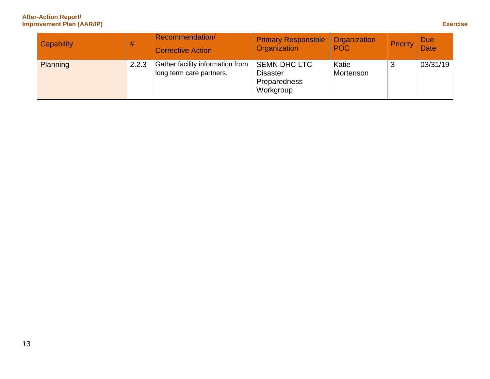#### **After-Action Report/ Improvement Plan (AAR/IP) Exercise**

| Capability      | #     | Recommendation/<br><b>Corrective Action</b>                  | <b>Primary Responsible</b><br>Organization                          | <b>Organization</b><br><b>POC</b> | Priority | <b>Due</b><br>Date |
|-----------------|-------|--------------------------------------------------------------|---------------------------------------------------------------------|-----------------------------------|----------|--------------------|
| <b>Planning</b> | 2.2.3 | Gather facility information from<br>long term care partners. | <b>SEMN DHC LTC</b><br><b>Disaster</b><br>Preparedness<br>Workgroup | Katie<br>Mortenson                |          | 03/31/19           |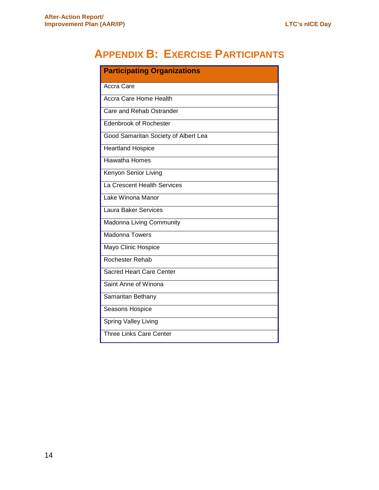# <span id="page-11-0"></span>**APPENDIX B: EXERCISE PARTICIPANTS**

| <b>Participating Organizations</b>   |  |  |  |
|--------------------------------------|--|--|--|
| <b>Accra Care</b>                    |  |  |  |
| <b>Accra Care Home Health</b>        |  |  |  |
| Care and Rehab Ostrander             |  |  |  |
| <b>Edenbrook of Rochester</b>        |  |  |  |
| Good Samaritan Society of Albert Lea |  |  |  |
| <b>Heartland Hospice</b>             |  |  |  |
| <b>Hiawatha Homes</b>                |  |  |  |
| Kenyon Senior Living                 |  |  |  |
| La Crescent Health Services          |  |  |  |
| Lake Winona Manor                    |  |  |  |
| <b>Laura Baker Services</b>          |  |  |  |
| Madonna Living Community             |  |  |  |
| <b>Madonna Towers</b>                |  |  |  |
| Mayo Clinic Hospice                  |  |  |  |
| Rochester Rehab                      |  |  |  |
| <b>Sacred Heart Care Center</b>      |  |  |  |
| Saint Anne of Winona                 |  |  |  |
| Samaritan Bethany                    |  |  |  |
| Seasons Hospice                      |  |  |  |
| <b>Spring Valley Living</b>          |  |  |  |
| <b>Three Links Care Center</b>       |  |  |  |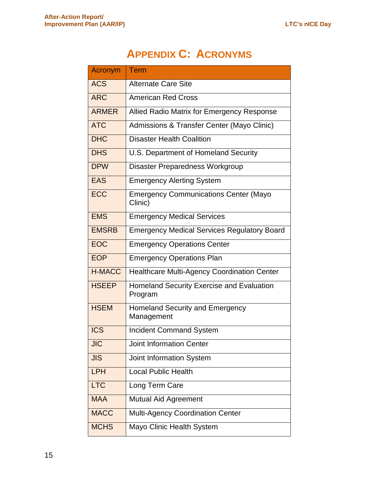# **APPENDIX C: ACRONYMS**

<span id="page-12-0"></span>

| Acronym       | Term                                                    |
|---------------|---------------------------------------------------------|
| <b>ACS</b>    | <b>Alternate Care Site</b>                              |
| <b>ARC</b>    | <b>American Red Cross</b>                               |
| <b>ARMER</b>  | Allied Radio Matrix for Emergency Response              |
| <b>ATC</b>    | Admissions & Transfer Center (Mayo Clinic)              |
| <b>DHC</b>    | <b>Disaster Health Coalition</b>                        |
| <b>DHS</b>    | U.S. Department of Homeland Security                    |
| <b>DPW</b>    | Disaster Preparedness Workgroup                         |
| <b>EAS</b>    | <b>Emergency Alerting System</b>                        |
| <b>ECC</b>    | <b>Emergency Communications Center (Mayo</b><br>Clinic) |
| <b>EMS</b>    | <b>Emergency Medical Services</b>                       |
| <b>EMSRB</b>  | <b>Emergency Medical Services Regulatory Board</b>      |
| <b>EOC</b>    | <b>Emergency Operations Center</b>                      |
| <b>EOP</b>    | <b>Emergency Operations Plan</b>                        |
| <b>H-MACC</b> | <b>Healthcare Multi-Agency Coordination Center</b>      |
| <b>HSEEP</b>  | Homeland Security Exercise and Evaluation<br>Program    |
| <b>HSEM</b>   | <b>Homeland Security and Emergency</b><br>Management    |
| <b>ICS</b>    | <b>Incident Command System</b>                          |
| <b>JIC</b>    | <b>Joint Information Center</b>                         |
| <b>JIS</b>    | Joint Information System                                |
| <b>LPH</b>    | <b>Local Public Health</b>                              |
| <b>LTC</b>    | Long Term Care                                          |
| <b>MAA</b>    | <b>Mutual Aid Agreement</b>                             |
| <b>MACC</b>   | Multi-Agency Coordination Center                        |
| <b>MCHS</b>   | Mayo Clinic Health System                               |